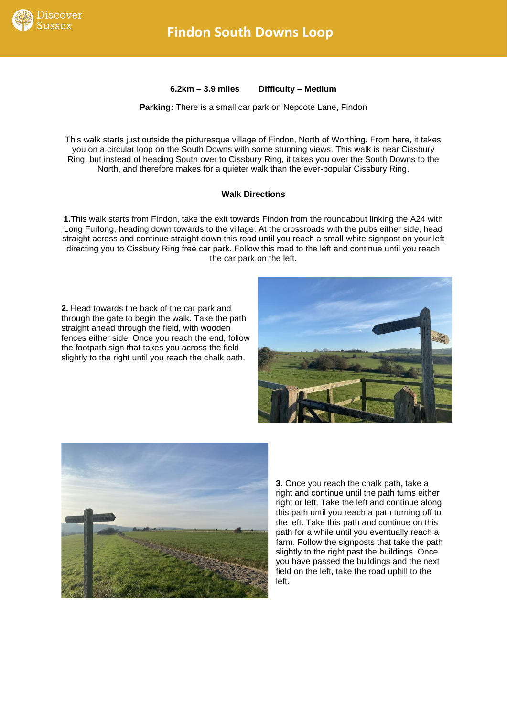

**6.2km – 3.9 miles Difficulty – Medium**

**Parking:** There is a small car park on Nepcote Lane, Findon

This walk starts just outside the picturesque village of Findon, North of Worthing. From here, it takes you on a circular loop on the South Downs with some stunning views. This walk is near Cissbury Ring, but instead of heading South over to Cissbury Ring, it takes you over the South Downs to the North, and therefore makes for a quieter walk than the ever-popular Cissbury Ring.

## **Walk Directions**

**1.**This walk starts from Findon, take the exit towards Findon from the roundabout linking the A24 with Long Furlong, heading down towards to the village. At the crossroads with the pubs either side, head straight across and continue straight down this road until you reach a small white signpost on your left directing you to Cissbury Ring free car park. Follow this road to the left and continue until you reach the car park on the left.

**2.** Head towards the back of the car park and through the gate to begin the walk. Take the path straight ahead through the field, with wooden fences either side. Once you reach the end, follow the footpath sign that takes you across the field slightly to the right until you reach the chalk path.





**3.** Once you reach the chalk path, take a right and continue until the path turns either right or left. Take the left and continue along this path until you reach a path turning off to the left. Take this path and continue on this path for a while until you eventually reach a farm. Follow the signposts that take the path slightly to the right past the buildings. Once you have passed the buildings and the next field on the left, take the road uphill to the left.